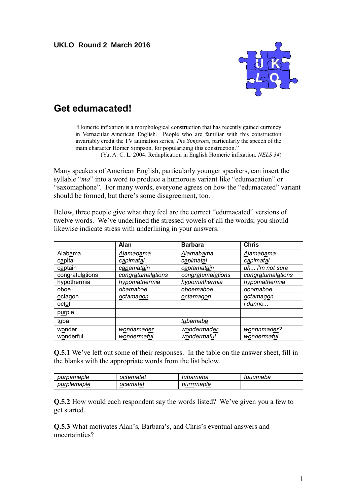**UKLO Round 2 March 2016**



## **Get edumacated!**

"Homeric infixation is a morphological construction that has recently gained currency in Vernacular American English. People who are familiar with this construction invariably credit the TV animation series, *The Simpsons,* particularly the speech of the main character Homer Simpson, for popularizing this construction."

(Yu, A. C. L. 2004. Reduplication in English Homeric infixation. *NELS 34*)

Many speakers of American English, particularly younger speakers, can insert the syllable "*ma*" into a word to produce a humorous variant like "edumacation" or "saxomaphone". For many words, everyone agrees on how the "edumacated" variant should be formed, but there's some disagreement, too.

Below, three people give what they feel are the correct "edumacated" versions of twelve words. We've underlined the stressed vowels of all the words; you should likewise indicate stress with underlining in your answers.

|                 | Alan              | <b>Barbara</b>    | <b>Chris</b>      |
|-----------------|-------------------|-------------------|-------------------|
| Alabama         | Alamabama         | Alamabama         | Alamabama         |
| capital         | capimatal         | capimatal         | capimatal         |
| captain         | capamatain        | captamatain       | uh i'm not sure   |
| congratulations | congratumalations | congratumalations | congratumalations |
| hypothermia     | hypomathermia     | hypomathermia     | hypomathermia     |
| oboe            | obamaboe          | oboemaboe         | ooomaboe          |
| octagon         | octamagon         | octamagon         | octamagon         |
| octet           |                   |                   | i dunno           |
| purple          |                   |                   |                   |
| tuba            |                   | tubamaba          |                   |
| wonder          | wondamader        | wondermader       | wonnnmader?       |
| wonderful       | wondermaful       | wondermaful       | wondermaful       |

**Q.5.1** We've left out some of their responses. In the table on the answer sheet, fill in the blanks with the appropriate words from the list below.

| purpamaple  | octematet | tubamaba   | tuuumaba |
|-------------|-----------|------------|----------|
| purplemaple | ocamatet  | purrrmaple |          |

**Q.5.2** How would each respondent say the words listed? We've given you a few to get started.

**Q.5.3** What motivates Alan's, Barbara's, and Chris's eventual answers and uncertainties?